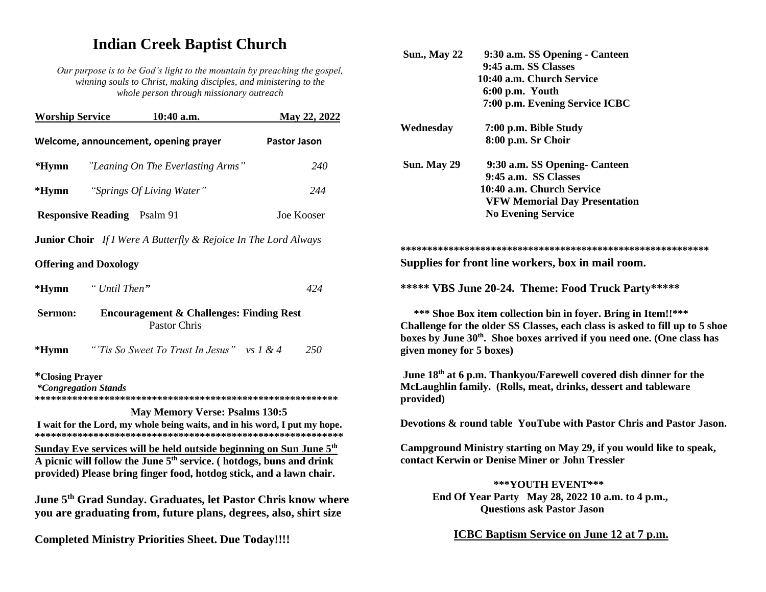# **Indian Creek Baptist Church**

*Our purpose is to be God's light to the mountain by preaching the gospel, winning souls to Christ, making disciples, and ministering to the whole person through missionary outreach*

| <b>Worship Service</b>                                                                |               | 10:40 a.m.                                                                                                                                                                                                                           | May 22, 2022 |
|---------------------------------------------------------------------------------------|---------------|--------------------------------------------------------------------------------------------------------------------------------------------------------------------------------------------------------------------------------------|--------------|
| Welcome, announcement, opening prayer<br><b>Pastor Jason</b>                          |               |                                                                                                                                                                                                                                      |              |
| $*Hymn$                                                                               |               | "Leaning On The Everlasting Arms"                                                                                                                                                                                                    | 240          |
| $*Hymn$                                                                               |               | "Springs Of Living Water"                                                                                                                                                                                                            | 244          |
| <b>Responsive Reading</b> Psalm 91                                                    |               |                                                                                                                                                                                                                                      | Joe Kooser   |
|                                                                                       |               | <b>Junior Choir</b> If I Were A Butterfly & Rejoice In The Lord Always                                                                                                                                                               |              |
| <b>Offering and Doxology</b>                                                          |               |                                                                                                                                                                                                                                      |              |
| $*Hymn$                                                                               | " Until Then" |                                                                                                                                                                                                                                      | 424          |
| <b>Encouragement &amp; Challenges: Finding Rest</b><br>Sermon:<br><b>Pastor Chris</b> |               |                                                                                                                                                                                                                                      |              |
| $*Hymn$                                                                               |               | "Tis So Sweet To Trust In Jesus" vs 1 & 4                                                                                                                                                                                            | 250          |
| <i>*</i> Closing Prayer<br><i>*Congregation Stands</i>                                |               |                                                                                                                                                                                                                                      |              |
|                                                                                       |               | <b>May Memory Verse: Psalms 130:5</b><br>I wait for the Lord, my whole being waits, and in his word, I put my hope.                                                                                                                  |              |
|                                                                                       |               |                                                                                                                                                                                                                                      |              |
|                                                                                       |               | <u>Sunday Eve services will be held outside beginning on Sun June 5<sup>th</sup></u><br>A picnic will follow the June $5th$ service. (hotdogs, buns and drink<br>provided) Please bring finger food, hotdog stick, and a lawn chair. |              |
|                                                                                       |               | June 5 <sup>th</sup> Grad Sunday. Graduates, let Pastor Chris know where<br>you are graduating from, future plans, degrees, also, shirt size                                                                                         |              |
|                                                                                       |               | <b>Completed Ministry Priorities Sheet. Due Today!!!!</b>                                                                                                                                                                            |              |

| 9:30 a.m. SS Opening - Canteen                                                                                                                                                                                                                      |
|-----------------------------------------------------------------------------------------------------------------------------------------------------------------------------------------------------------------------------------------------------|
| 9:45 a.m. SS Classes                                                                                                                                                                                                                                |
| 10:40 a.m. Church Service                                                                                                                                                                                                                           |
| 6:00 p.m. Youth<br>7:00 p.m. Evening Service ICBC                                                                                                                                                                                                   |
|                                                                                                                                                                                                                                                     |
| 7:00 p.m. Bible Study                                                                                                                                                                                                                               |
| 8:00 p.m. Sr Choir                                                                                                                                                                                                                                  |
| 9:30 a.m. SS Opening- Canteen                                                                                                                                                                                                                       |
| 9:45 a.m. SS Classes                                                                                                                                                                                                                                |
| 10:40 a.m. Church Service                                                                                                                                                                                                                           |
| <b>VFW Memorial Day Presentation</b>                                                                                                                                                                                                                |
| <b>No Evening Service</b>                                                                                                                                                                                                                           |
|                                                                                                                                                                                                                                                     |
|                                                                                                                                                                                                                                                     |
| Supplies for front line workers, box in mail room.                                                                                                                                                                                                  |
| ***** VBS June 20-24. Theme: Food Truck Party*****                                                                                                                                                                                                  |
| *** Shoe Box item collection bin in foyer. Bring in Item!!***<br>Challenge for the older SS Classes, each class is asked to fill up to 5 shoe<br>boxes by June 30th. Shoe boxes arrived if you need one. (One class has<br>given money for 5 boxes) |
| June 18 <sup>th</sup> at 6 p.m. Thankyou/Farewell covered dish dinner for the                                                                                                                                                                       |
| McLaughlin family. (Rolls, meat, drinks, dessert and tableware                                                                                                                                                                                      |
| Devotions & round table YouTube with Pastor Chris and Pastor Jason.                                                                                                                                                                                 |
|                                                                                                                                                                                                                                                     |
| Campground Ministry starting on May 29, if you would like to speak,<br>contact Kerwin or Denise Miner or John Tressler                                                                                                                              |
| ***YOUTH EVENT***                                                                                                                                                                                                                                   |
| End Of Year Party May 28, 2022 10 a.m. to 4 p.m.,                                                                                                                                                                                                   |
| <b>Questions ask Pastor Jason</b>                                                                                                                                                                                                                   |
|                                                                                                                                                                                                                                                     |